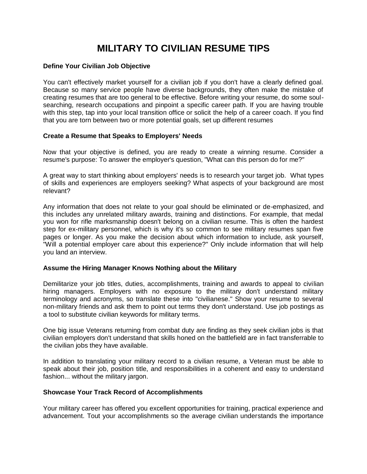# **MILITARY TO CIVILIAN RESUME TIPS**

## **Define Your Civilian Job Objective**

You can't effectively market yourself for a civilian job if you don't have a clearly defined goal. Because so many service people have diverse backgrounds, they often make the mistake of creating resumes that are too general to be effective. Before writing your resume, do some soulsearching, research occupations and pinpoint a specific career path. If you are having trouble with this step, tap into your local transition office or solicit the help of a career coach. If you find that you are torn between two or more potential goals, set up different resumes

## **Create a Resume that Speaks to Employers' Needs**

Now that your objective is defined, you are ready to create a winning resume. Consider a resume's purpose: To answer the employer's question, "What can this person do for me?"

A great way to start thinking about employers' needs is to research your target job. What types of skills and experiences are employers seeking? What aspects of your background are most relevant?

Any information that does not relate to your goal should be eliminated or de-emphasized, and this includes any unrelated military awards, training and distinctions. For example, that medal you won for rifle marksmanship doesn't belong on a civilian resume. This is often the hardest step for ex-military personnel, which is why it's so common to see military resumes span five pages or longer. As you make the decision about which information to include, ask yourself, "Will a potential employer care about this experience?" Only include information that will help you land an interview.

# **Assume the Hiring Manager Knows Nothing about the Military**

Demilitarize your job titles, duties, accomplishments, training and awards to appeal to civilian hiring managers. Employers with no exposure to the military don't understand military terminology and acronyms, so translate these into "civilianese." Show your resume to several non-military friends and ask them to point out terms they don't understand. Use job postings as a tool to substitute civilian keywords for military terms.

One big issue Veterans returning from combat duty are finding as they seek civilian jobs is that civilian employers don't understand that skills honed on the battlefield are in fact transferrable to the civilian jobs they have available.

In addition to translating your military record to a civilian resume, a Veteran must be able to speak about their job, position title, and responsibilities in a coherent and easy to understand fashion... without the military jargon.

#### **Showcase Your Track Record of Accomplishments**

Your military career has offered you excellent opportunities for training, practical experience and advancement. Tout your accomplishments so the average civilian understands the importance